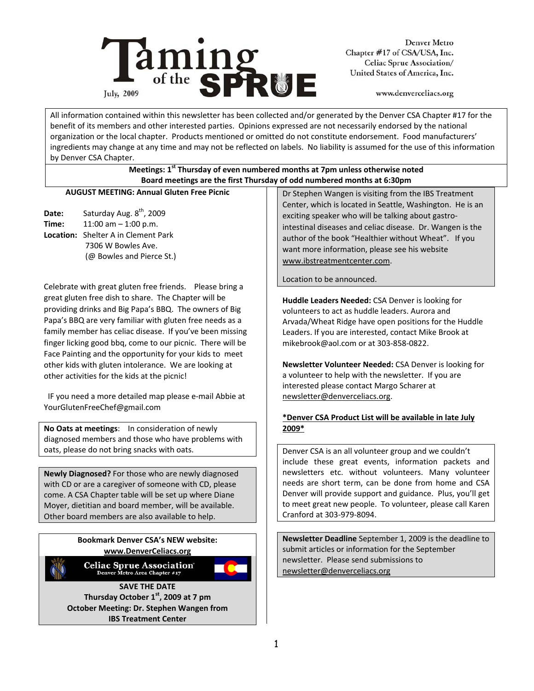

**Denver Metro** Chapter #17 of CSA/USA, Inc. Celiac Sprue Association/ United States of America, Inc.

www.denverceliacs.org

All information contained within this newsletter has been collected and/or generated by the Denver CSA Chapter #17 for the benefit of its members and other interested parties. Opinions expressed are not necessarily endorsed by the national organization or the local chapter. Products mentioned or omitted do not constitute endorsement. Food manufacturers' ingredients may change at any time and may not be reflected on labels. No liability is assumed for the use of this information by Denver CSA Chapter.

## **Meetings: 1st Thursday of even numbered months at 7pm unless otherwise noted Board meetings are the first Thursday of odd numbered months at 6:30pm**

## **AUGUST MEETING: Annual Gluten Free Picnic**

Date: Saturday Aug. 8<sup>th</sup>, 2009 **Time:** 11:00 am – 1:00 p.m. **Location:** Shelter A in Clement Park 7306 W Bowles Ave. (@ Bowles and Pierce St.)

Celebrate with great gluten free friends. Please bring a great gluten free dish to share. The Chapter will be providing drinks and Big Papa's BBQ. The owners of Big Papa's BBQ are very familiar with gluten free needs as a family member has celiac disease. If you've been missing finger licking good bbq, come to our picnic. There will be Face Painting and the opportunity for your kids to meet other kids with gluten intolerance. We are looking at other activities for the kids at the picnic!

 IF you need a more detailed map please e‐mail Abbie at YourGlutenFreeChef@gmail.com

**No Oats at meetings**: In consideration of newly diagnosed members and those who have problems with oats, please do not bring snacks with oats.

**Newly Diagnosed?** For those who are newly diagnosed with CD or are a caregiver of someone with CD, please come. A CSA Chapter table will be set up where Diane Moyer, dietitian and board member, will be available. Other board members are also available to help.

## **Bookmark Denver CSA's NEW website: www.DenverCeliacs.org**



**Celiac Sprue Association** 



**SAVE THE DATE Thursday October 1st, 2009 at 7 pm October Meeting: Dr. Stephen Wangen from IBS Treatment Center** 

Dr Stephen Wangen is visiting from the IBS Treatment Center, which is located in Seattle, Washington. He is an exciting speaker who will be talking about gastro‐ intestinal diseases and celiac disease. Dr. Wangen is the author of the book "Healthier without Wheat". If you want more information, please see his website www.ibstreatmentcenter.com.

Location to be announced.

**Huddle Leaders Needed:** CSA Denver is looking for volunteers to act as huddle leaders. Aurora and Arvada/Wheat Ridge have open positions for the Huddle Leaders. If you are interested, contact Mike Brook at mikebrook@aol.com or at 303‐858‐0822.

**Newsletter Volunteer Needed:** CSA Denver is looking for a volunteer to help with the newsletter. If you are interested please contact Margo Scharer at newsletter@denverceliacs.org.

## **\*Denver CSA Product List will be available in late July 2009\***

Denver CSA is an all volunteer group and we couldn't include these great events, information packets and newsletters etc. without volunteers. Many volunteer needs are short term, can be done from home and CSA Denver will provide support and guidance. Plus, you'll get to meet great new people. To volunteer, please call Karen Cranford at 303‐979‐8094.

**Newsletter Deadline** September 1, 2009 is the deadline to submit articles or information for the September newsletter. Please send submissions to newsletter@denverceliacs.org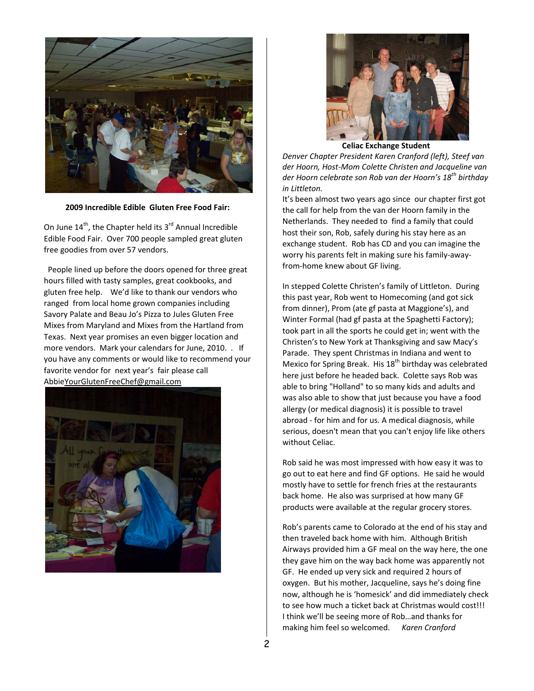

**2009 Incredible Edible Gluten Free Food Fair:**

On June  $14^{th}$ , the Chapter held its  $3^{rd}$  Annual Incredible Edible Food Fair. Over 700 people sampled great gluten free goodies from over 57 vendors.

 People lined up before the doors opened for three great hours filled with tasty samples, great cookbooks, and gluten free help. We'd like to thank our vendors who ranged from local home grown companies including Savory Palate and Beau Jo's Pizza to Jules Gluten Free Mixes from Maryland and Mixes from the Hartland from Texas. Next year promises an even bigger location and more vendors. Mark your calendars for June, 2010. . If you have any comments or would like to recommend your favorite vendor for next year's fair please call AbbieYourGlutenFreeChef@gmail.com





**Celiac Exchange Student** 

*Denver Chapter President Karen Cranford (left), Steef van der Hoorn, Host‐Mom Colette Christen and Jacqueline van der Hoorn celebrate son Rob van der Hoorn's 18th birthday in Littleton.* 

It's been almost two years ago since our chapter first got the call for help from the van der Hoorn family in the Netherlands. They needed to find a family that could host their son, Rob, safely during his stay here as an exchange student. Rob has CD and you can imagine the worry his parents felt in making sure his family‐away‐ from‐home knew about GF living.

In stepped Colette Christen's family of Littleton. During this past year, Rob went to Homecoming (and got sick from dinner), Prom (ate gf pasta at Maggione's), and Winter Formal (had gf pasta at the Spaghetti Factory); took part in all the sports he could get in; went with the Christen's to New York at Thanksgiving and saw Macy's Parade. They spent Christmas in Indiana and went to Mexico for Spring Break. His 18<sup>th</sup> birthday was celebrated here just before he headed back. Colette says Rob was able to bring "Holland" to so many kids and adults and was also able to show that just because you have a food allergy (or medical diagnosis) it is possible to travel abroad ‐ for him and for us. A medical diagnosis, while serious, doesn't mean that you can't enjoy life like others without Celiac.

Rob said he was most impressed with how easy it was to go out to eat here and find GF options. He said he would mostly have to settle for french fries at the restaurants back home. He also was surprised at how many GF products were available at the regular grocery stores.

Rob's parents came to Colorado at the end of his stay and then traveled back home with him. Although British Airways provided him a GF meal on the way here, the one they gave him on the way back home was apparently not GF. He ended up very sick and required 2 hours of oxygen. But his mother, Jacqueline, says he's doing fine now, although he is 'homesick' and did immediately check to see how much a ticket back at Christmas would cost!!! I think we'll be seeing more of Rob…and thanks for making him feel so welcomed. *Karen Cranford*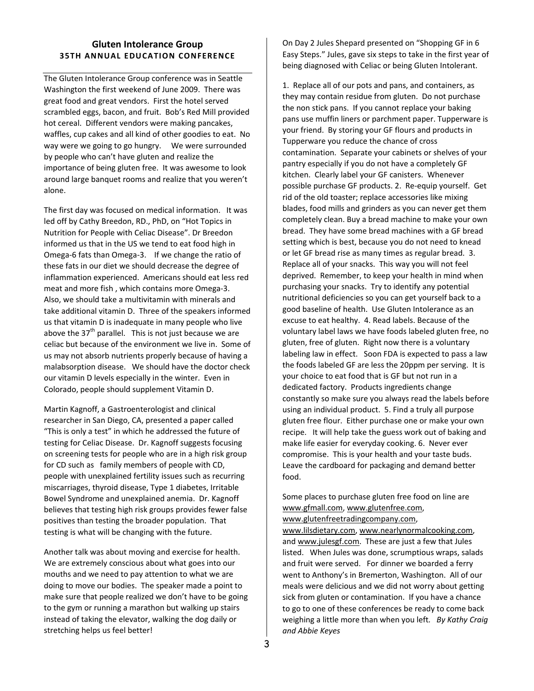## **Gluten Intolerance Group 35TH ANNUAL EDUCATION CONFERENCE**

The Gluten Intolerance Group conference was in Seattle Washington the first weekend of June 2009. There was great food and great vendors. First the hotel served scrambled eggs, bacon, and fruit. Bob's Red Mill provided hot cereal. Different vendors were making pancakes, waffles, cup cakes and all kind of other goodies to eat. No way were we going to go hungry. We were surrounded by people who can't have gluten and realize the importance of being gluten free. It was awesome to look around large banquet rooms and realize that you weren't alone.

The first day was focused on medical information. It was led off by Cathy Breedon, RD., PhD, on "Hot Topics in Nutrition for People with Celiac Disease". Dr Breedon informed us that in the US we tend to eat food high in Omega‐6 fats than Omega‐3. If we change the ratio of these fats in our diet we should decrease the degree of inflammation experienced. Americans should eat less red meat and more fish , which contains more Omega‐3. Also, we should take a multivitamin with minerals and take additional vitamin D. Three of the speakers informed us that vitamin D is inadequate in many people who live above the  $37<sup>th</sup>$  parallel. This is not just because we are celiac but because of the environment we live in. Some of us may not absorb nutrients properly because of having a malabsorption disease. We should have the doctor check our vitamin D levels especially in the winter. Even in Colorado, people should supplement Vitamin D.

Martin Kagnoff, a Gastroenterologist and clinical researcher in San Diego, CA, presented a paper called "This is only a test" in which he addressed the future of testing for Celiac Disease. Dr. Kagnoff suggests focusing on screening tests for people who are in a high risk group for CD such as family members of people with CD, people with unexplained fertility issues such as recurring miscarriages, thyroid disease, Type 1 diabetes, Irritable Bowel Syndrome and unexplained anemia. Dr. Kagnoff believes that testing high risk groups provides fewer false positives than testing the broader population. That testing is what will be changing with the future.

Another talk was about moving and exercise for health. We are extremely conscious about what goes into our mouths and we need to pay attention to what we are doing to move our bodies. The speaker made a point to make sure that people realized we don't have to be going to the gym or running a marathon but walking up stairs instead of taking the elevator, walking the dog daily or stretching helps us feel better!

On Day 2 Jules Shepard presented on "Shopping GF in 6 Easy Steps." Jules, gave six steps to take in the first year of being diagnosed with Celiac or being Gluten Intolerant.

1. Replace all of our pots and pans, and containers, as they may contain residue from gluten. Do not purchase the non stick pans. If you cannot replace your baking pans use muffin liners or parchment paper. Tupperware is your friend. By storing your GF flours and products in Tupperware you reduce the chance of cross contamination. Separate your cabinets or shelves of your pantry especially if you do not have a completely GF kitchen. Clearly label your GF canisters. Whenever possible purchase GF products. 2. Re‐equip yourself. Get rid of the old toaster; replace accessories like mixing blades, food mills and grinders as you can never get them completely clean. Buy a bread machine to make your own bread. They have some bread machines with a GF bread setting which is best, because you do not need to knead or let GF bread rise as many times as regular bread. 3. Replace all of your snacks. This way you will not feel deprived. Remember, to keep your health in mind when purchasing your snacks. Try to identify any potential nutritional deficiencies so you can get yourself back to a good baseline of health. Use Gluten Intolerance as an excuse to eat healthy. 4. Read labels. Because of the voluntary label laws we have foods labeled gluten free, no gluten, free of gluten. Right now there is a voluntary labeling law in effect. Soon FDA is expected to pass a law the foods labeled GF are less the 20ppm per serving. It is your choice to eat food that is GF but not run in a dedicated factory. Products ingredients change constantly so make sure you always read the labels before using an individual product. 5. Find a truly all purpose gluten free flour. Either purchase one or make your own recipe. It will help take the guess work out of baking and make life easier for everyday cooking. 6. Never ever compromise. This is your health and your taste buds. Leave the cardboard for packaging and demand better food.

Some places to purchase gluten free food on line are www.gfmall.com, www.glutenfree.com,

www.glutenfreetradingcompany.com,

www.lilsdietary.com, www.nearlynormalcooking.com, and www.julesgf.com. These are just a few that Jules listed. When Jules was done, scrumptious wraps, salads and fruit were served. For dinner we boarded a ferry went to Anthony's in Bremerton, Washington. All of our meals were delicious and we did not worry about getting sick from gluten or contamination. If you have a chance to go to one of these conferences be ready to come back weighing a little more than when you left*. By Kathy Craig and Abbie Keyes*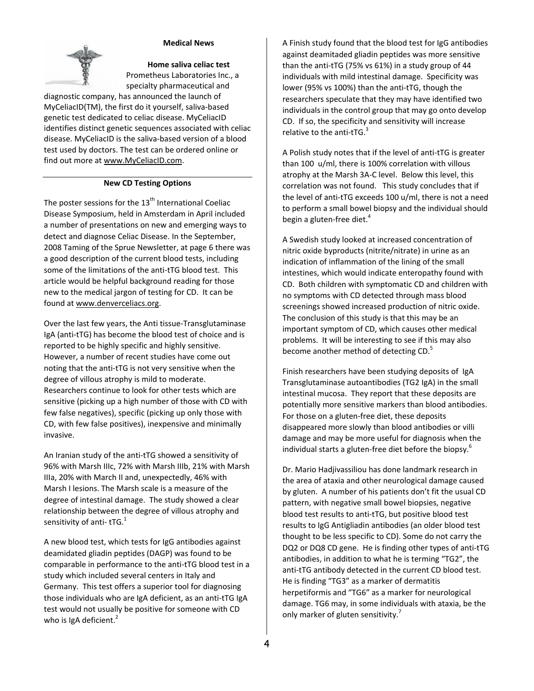

#### **Medical News**

**Home saliva celiac test**  Prometheus Laboratories Inc., a specialty pharmaceutical and

diagnostic company, has announced the launch of MyCeliacID(TM), the first do it yourself, saliva‐based genetic test dedicated to celiac disease. MyCeliacID identifies distinct genetic sequences associated with celiac disease. MyCeliacID is the saliva‐based version of a blood test used by doctors. The test can be ordered online or find out more at www.MyCeliacID.com.

#### **New CD Testing Options**

The poster sessions for the  $13<sup>th</sup>$  International Coeliac Disease Symposium, held in Amsterdam in April included a number of presentations on new and emerging ways to detect and diagnose Celiac Disease. In the September, 2008 Taming of the Sprue Newsletter, at page 6 there was a good description of the current blood tests, including some of the limitations of the anti-tTG blood test. This article would be helpful background reading for those new to the medical jargon of testing for CD. It can be found at www.denverceliacs.org.

Over the last few years, the Anti tissue‐Transglutaminase IgA (anti‐tTG) has become the blood test of choice and is reported to be highly specific and highly sensitive. However, a number of recent studies have come out noting that the anti‐tTG is not very sensitive when the degree of villous atrophy is mild to moderate. Researchers continue to look for other tests which are sensitive (picking up a high number of those with CD with few false negatives), specific (picking up only those with CD, with few false positives), inexpensive and minimally invasive.

An Iranian study of the anti-tTG showed a sensitivity of 96% with Marsh IIIc, 72% with Marsh IIIb, 21% with Marsh IIIa, 20% with March II and, unexpectedly, 46% with Marsh I lesions. The Marsh scale is a measure of the degree of intestinal damage. The study showed a clear relationship between the degree of villous atrophy and sensitivity of anti-tTG. $<sup>1</sup>$ </sup>

A new blood test, which tests for IgG antibodies against deamidated gliadin peptides (DAGP) was found to be comparable in performance to the anti‐tTG blood test in a study which included several centers in Italy and Germany. This test offers a superior tool for diagnosing those individuals who are IgA deficient, as an anti‐tTG IgA test would not usually be positive for someone with CD who is IgA deficient. $<sup>2</sup>$ </sup>

A Finish study found that the blood test for IgG antibodies against deamitaded gliadin peptides was more sensitive than the anti‐tTG (75% vs 61%) in a study group of 44 individuals with mild intestinal damage. Specificity was lower (95% vs 100%) than the anti‐tTG, though the researchers speculate that they may have identified two individuals in the control group that may go onto develop CD. If so, the specificity and sensitivity will increase relative to the anti-tTG. $3$ 

A Polish study notes that if the level of anti‐tTG is greater than 100 u/ml, there is 100% correlation with villous atrophy at the Marsh 3A‐C level. Below this level, this correlation was not found. This study concludes that if the level of anti-tTG exceeds 100 u/ml, there is not a need to perform a small bowel biopsy and the individual should begin a gluten-free diet. $4$ 

A Swedish study looked at increased concentration of nitric oxide byproducts (nitrite/nitrate) in urine as an indication of inflammation of the lining of the small intestines, which would indicate enteropathy found with CD. Both children with symptomatic CD and children with no symptoms with CD detected through mass blood screenings showed increased production of nitric oxide. The conclusion of this study is that this may be an important symptom of CD, which causes other medical problems. It will be interesting to see if this may also become another method of detecting CD.<sup>5</sup>

Finish researchers have been studying deposits of IgA Transglutaminase autoantibodies (TG2 IgA) in the small intestinal mucosa. They report that these deposits are potentially more sensitive markers than blood antibodies. For those on a gluten‐free diet, these deposits disappeared more slowly than blood antibodies or villi damage and may be more useful for diagnosis when the individual starts a gluten-free diet before the biopsy.<sup>6</sup>

Dr. Mario Hadjivassiliou has done landmark research in the area of ataxia and other neurological damage caused by gluten. A number of his patients don't fit the usual CD pattern, with negative small bowel biopsies, negative blood test results to anti‐tTG, but positive blood test results to IgG Antigliadin antibodies (an older blood test thought to be less specific to CD). Some do not carry the DQ2 or DQ8 CD gene. He is finding other types of anti-tTG antibodies, in addition to what he is terming "TG2", the anti-tTG antibody detected in the current CD blood test. He is finding "TG3" as a marker of dermatitis herpetiformis and "TG6" as a marker for neurological damage. TG6 may, in some individuals with ataxia, be the only marker of gluten sensitivity.<sup>7</sup>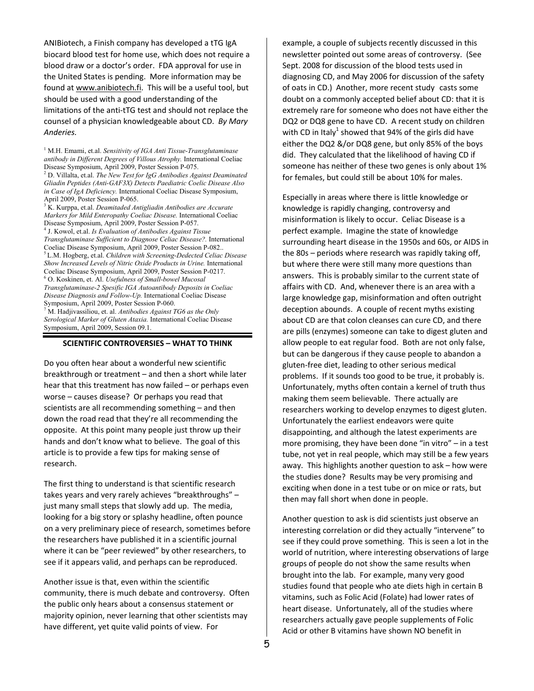ANIBiotech, a Finish company has developed a tTG IgA biocard blood test for home use, which does not require a blood draw or a doctor's order. FDA approval for use in the United States is pending. More information may be found at www.anibiotech.fi. This will be a useful tool, but should be used with a good understanding of the limitations of the anti‐tTG test and should not replace the counsel of a physician knowledgeable about CD. *By Mary Anderies.*

<sup>1</sup> M.H. Emami, et.al. *Sensitivity of IGA Anti Tissue-Transglutaminase antibody in Different Degrees of Villous Atrophy.* International Coeliac Disease Symposium, April 2009, Poster Session P-075.

2 D. Villalta, et.al. *The New Test for IgG Antibodies Against Deaminated Gliadin Peptides (Anti-GAF3X) Detects Paediatric Coelic Disease Also in Case of IgA Deficiency.* International Coeliac Disease Symposium, April 2009, Poster Session P-065.

3 K. Kurppa, et.al. *Deamitaded Antigliadin Antibodies are Accurate Markers for Mild Enteropathy Coeliac Disease.* International Coeliac Disease Symposium, April 2009, Poster Session P-057.

4 J. Kowol, et.al. *Is Evaluation of Antibodies Against Tissue Transglutaminase Sufficient to Diagnose Celiac Disease?.* International Coeliac Disease Symposium, April 2009, Poster Session P-082.. 5 L.M. Hogberg, et.al. *Children with Screening-Dedected Celiac Disease Show Increased Levels of Nitric Oxide Products in Urine.* International Coeliac Disease Symposium, April 2009, Poster Session P-0217. 6 O. Koskinen, et. Al. *Usefulness of Small-bowel Mucosal Transglutaminase-2 Spesific IGA Autoantibody Deposits in Coeliac Disease Diagnosis and Follow-Up.* International Coeliac Disease Symposium, April 2009, Poster Session P-060.

7 M. Hadjivassiliou, et. al. *Antibodies Against TG6 as the Only Serological Marker of Gluten Ataxia.* International Coeliac Disease Symposium, April 2009, Session 09.1.

#### **SCIENTIFIC CONTROVERSIES – WHAT TO THINK**

Do you often hear about a wonderful new scientific breakthrough or treatment – and then a short while later hear that this treatment has now failed – or perhaps even worse – causes disease? Or perhaps you read that scientists are all recommending something – and then down the road read that they're all recommending the opposite. At this point many people just throw up their hands and don't know what to believe. The goal of this article is to provide a few tips for making sense of research.

The first thing to understand is that scientific research takes years and very rarely achieves "breakthroughs" – just many small steps that slowly add up. The media, looking for a big story or splashy headline, often pounce on a very preliminary piece of research, sometimes before the researchers have published it in a scientific journal where it can be "peer reviewed" by other researchers, to see if it appears valid, and perhaps can be reproduced.

Another issue is that, even within the scientific community, there is much debate and controversy. Often the public only hears about a consensus statement or majority opinion, never learning that other scientists may have different, yet quite valid points of view. For

example, a couple of subjects recently discussed in this newsletter pointed out some areas of controversy. (See Sept. 2008 for discussion of the blood tests used in diagnosing CD, and May 2006 for discussion of the safety of oats in CD.) Another, more recent study casts some doubt on a commonly accepted belief about CD: that it is extremely rare for someone who does not have either the DQ2 or DQ8 gene to have CD. A recent study on children with CD in Italy<sup>1</sup> showed that 94% of the girls did have either the DQ2 &/or DQ8 gene, but only 85% of the boys did. They calculated that the likelihood of having CD if someone has neither of these two genes is only about 1% for females, but could still be about 10% for males.

Especially in areas where there is little knowledge or knowledge is rapidly changing, controversy and misinformation is likely to occur. Celiac Disease is a perfect example. Imagine the state of knowledge surrounding heart disease in the 1950s and 60s, or AIDS in the 80s – periods where research was rapidly taking off, but where there were still many more questions than answers. This is probably similar to the current state of affairs with CD. And, whenever there is an area with a large knowledge gap, misinformation and often outright deception abounds. A couple of recent myths existing about CD are that colon cleanses can cure CD, and there are pills (enzymes) someone can take to digest gluten and allow people to eat regular food. Both are not only false, but can be dangerous if they cause people to abandon a gluten‐free diet, leading to other serious medical problems. If it sounds too good to be true, it probably is. Unfortunately, myths often contain a kernel of truth thus making them seem believable. There actually are researchers working to develop enzymes to digest gluten. Unfortunately the earliest endeavors were quite disappointing, and although the latest experiments are more promising, they have been done "in vitro" – in a test tube, not yet in real people, which may still be a few years away. This highlights another question to ask – how were the studies done? Results may be very promising and exciting when done in a test tube or on mice or rats, but then may fall short when done in people.

Another question to ask is did scientists just observe an interesting correlation or did they actually "intervene" to see if they could prove something. This is seen a lot in the world of nutrition, where interesting observations of large groups of people do not show the same results when brought into the lab. For example, many very good studies found that people who ate diets high in certain B vitamins, such as Folic Acid (Folate) had lower rates of heart disease. Unfortunately, all of the studies where researchers actually gave people supplements of Folic Acid or other B vitamins have shown NO benefit in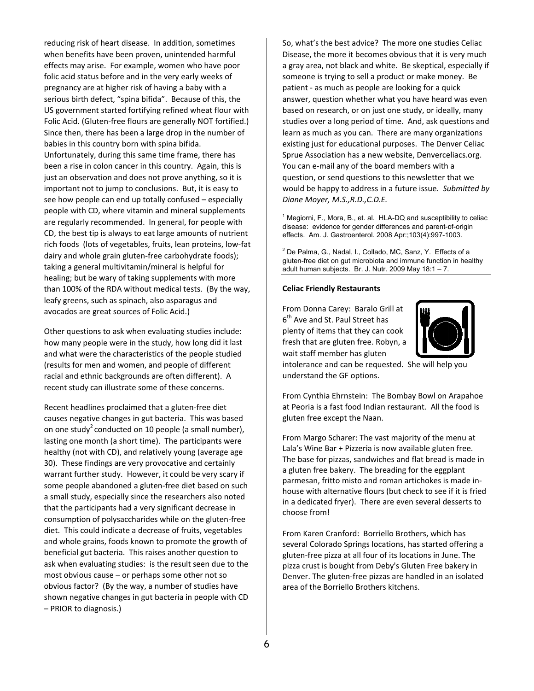reducing risk of heart disease. In addition, sometimes when benefits have been proven, unintended harmful effects may arise. For example, women who have poor folic acid status before and in the very early weeks of pregnancy are at higher risk of having a baby with a serious birth defect, "spina bifida". Because of this, the US government started fortifying refined wheat flour with Folic Acid. (Gluten-free flours are generally NOT fortified.) Since then, there has been a large drop in the number of babies in this country born with spina bifida. Unfortunately, during this same time frame, there has been a rise in colon cancer in this country. Again, this is just an observation and does not prove anything, so it is important not to jump to conclusions. But, it is easy to see how people can end up totally confused - especially people with CD, where vitamin and mineral supplements are regularly recommended. In general, for people with CD, the best tip is always to eat large amounts of nutrient rich foods (lots of vegetables, fruits, lean proteins, low-fat dairy and whole grain gluten-free carbohydrate foods); taking a general multivitamin/mineral is helpful for healing; but be wary of taking supplements with more than 100% of the RDA without medical tests. (By the way, leafy greens, such as spinach, also asparagus and avocados are great sources of Folic Acid.)

Other questions to ask when evaluating studies include: how many people were in the study, how long did it last and what were the characteristics of the people studied (results for men and women, and people of different racial and ethnic backgrounds are often different). A recent study can illustrate some of these concerns.

Recent headlines proclaimed that a gluten-free diet causes negative changes in gut bacteria. This was based on one study<sup>2</sup> conducted on 10 people (a small number), lasting one month (a short time). The participants were healthy (not with CD), and relatively young (average age 30). These findings are very provocative and certainly warrant further study. However, it could be very scary if some people abandoned a gluten-free diet based on such a small study, especially since the researchers also noted that the participants had a very significant decrease in consumption of polysaccharides while on the gluten-free diet. This could indicate a decrease of fruits, vegetables and whole grains, foods known to promote the growth of beneficial gut bacteria. This raises another question to ask when evaluating studies: is the result seen due to the most obvious cause - or perhaps some other not so obvious factor? (By the way, a number of studies have shown negative changes in gut bacteria in people with CD - PRIOR to diagnosis.)

So, what's the best advice? The more one studies Celiac Disease, the more it becomes obvious that it is very much a gray area, not black and white. Be skeptical, especially if someone is trying to sell a product or make money. Be patient - as much as people are looking for a quick answer, question whether what you have heard was even based on research, or on just one study, or ideally, many studies over a long period of time. And, ask questions and learn as much as you can. There are many organizations existing just for educational purposes. The Denver Celiac Sprue Association has a new website, Denverceliacs.org. You can e-mail any of the board members with a question, or send questions to this newsletter that we would be happy to address in a future issue. Submitted by Diane Moyer, M.S., R.D., C.D.E.

 $1$  Megiorni, F., Mora, B., et. al. HLA-DQ and susceptibility to celiac disease: evidence for gender differences and parent-of-origin effects. Am. J. Gastroenterol. 2008 Apr:;103(4):997-1003.

<sup>2</sup> De Palma, G., Nadal, I., Collado, MC, Sanz, Y. Effects of a gluten-free diet on gut microbiota and immune function in healthy adult human subjects. Br. J. Nutr. 2009 May 18:1 - 7.

#### **Celiac Friendly Restaurants**

From Donna Carey: Baralo Grill at 6<sup>th</sup> Ave and St. Paul Street has plenty of items that they can cook fresh that are gluten free. Robyn, a wait staff member has gluten



intolerance and can be requested. She will help you understand the GF options.

From Cynthia Ehrnstein: The Bombay Bowl on Arapahoe at Peoria is a fast food Indian restaurant. All the food is gluten free except the Naan.

From Margo Scharer: The vast majority of the menu at Lala's Wine Bar + Pizzeria is now available gluten free. The base for pizzas, sandwiches and flat bread is made in a gluten free bakery. The breading for the eggplant parmesan, fritto misto and roman artichokes is made inhouse with alternative flours (but check to see if it is fried in a dedicated fryer). There are even several desserts to choose from!

From Karen Cranford: Borriello Brothers, which has several Colorado Springs locations, has started offering a gluten-free pizza at all four of its locations in June. The pizza crust is bought from Deby's Gluten Free bakery in Denver. The gluten-free pizzas are handled in an isolated area of the Borriello Brothers kitchens.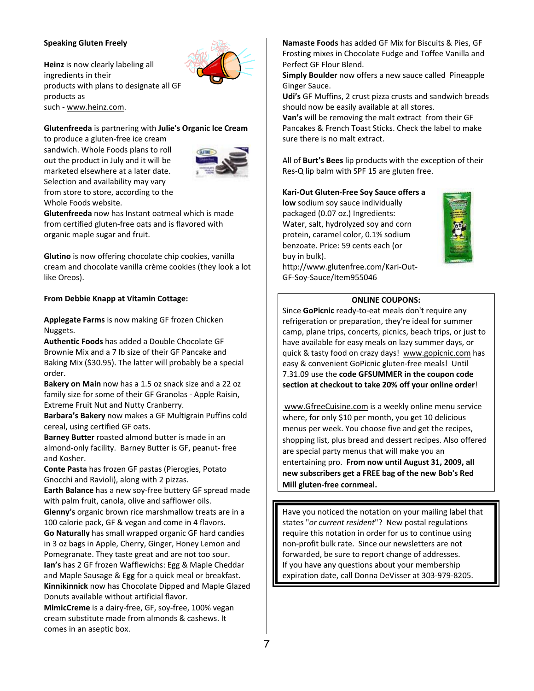#### **Speaking Gluten Freely**

**Heinz** is now clearly labeling all ingredients in their products with plans to designate all GF products as such ‐ www.heinz.com.

#### **Glutenfreeda** is partnering with **Julie's Organic Ice Cream**

to produce a gluten‐free ice cream sandwich. Whole Foods plans to roll out the product in July and it will be marketed elsewhere at a later date. Selection and availability may vary from store to store, according to the Whole Foods website.



**Glutenfreeda** now has Instant oatmeal which is made from certified gluten‐free oats and is flavored with organic maple sugar and fruit.

**Glutino** is now offering chocolate chip cookies, vanilla cream and chocolate vanilla crème cookies (they look a lot like Oreos).

#### **From Debbie Knapp at Vitamin Cottage:**

**Applegate Farms** is now making GF frozen Chicken Nuggets.

**Authentic Foods** has added a Double Chocolate GF Brownie Mix and a 7 lb size of their GF Pancake and Baking Mix (\$30.95). The latter will probably be a special order.

**Bakery on Main** now has a 1.5 oz snack size and a 22 oz family size for some of their GF Granolas ‐ Apple Raisin, Extreme Fruit Nut and Nutty Cranberry.

**Barbara's Bakery** now makes a GF Multigrain Puffins cold cereal, using certified GF oats.

**Barney Butter** roasted almond butter is made in an almond‐only facility. Barney Butter is GF, peanut‐ free and Kosher.

**Conte Pasta** has frozen GF pastas (Pierogies, Potato Gnocchi and Ravioli), along with 2 pizzas.

**Earth Balance** has a new soy-free buttery GF spread made with palm fruit, canola, olive and safflower oils. **Glenny's** organic brown rice marshmallow treats are in a 100 calorie pack, GF & vegan and come in 4 flavors. **Go Naturally** has small wrapped organic GF hard candies in 3 oz bags in Apple, Cherry, Ginger, Honey Lemon and Pomegranate. They taste great and are not too sour. **Ian's** has 2 GF frozen Wafflewichs: Egg & Maple Cheddar and Maple Sausage & Egg for a quick meal or breakfast.

**Kinnikinnick** now has Chocolate Dipped and Maple Glazed Donuts available without artificial flavor.

**MimicCreme** is a dairy‐free, GF, soy‐free, 100% vegan cream substitute made from almonds & cashews. It comes in an aseptic box.

**Namaste Foods** has added GF Mix for Biscuits & Pies, GF Frosting mixes in Chocolate Fudge and Toffee Vanilla and Perfect GF Flour Blend.

**Simply Boulder** now offers a new sauce called Pineapple Ginger Sauce.

**Udi's** GF Muffins, 2 crust pizza crusts and sandwich breads should now be easily available at all stores.

**Van's** will be removing the malt extract from their GF Pancakes & French Toast Sticks. Check the label to make sure there is no malt extract.

All of **Burt's Bees** lip products with the exception of their Res‐Q lip balm with SPF 15 are gluten free.

#### **Kari‐Out Gluten‐Free Soy Sauce offers a**

**low** sodium soy sauce individually packaged (0.07 oz.) Ingredients: Water, salt, hydrolyzed soy and corn protein, caramel color, 0.1% sodium benzoate. Price: 59 cents each (or buy in bulk). http://www.glutenfree.com/Kari‐Out‐

GF‐Soy‐Sauce/Item955046



#### **ONLINE COUPONS:**

Since **GoPicnic** ready‐to‐eat meals don't require any refrigeration or preparation, they're ideal for summer camp, plane trips, concerts, picnics, beach trips, or just to have available for easy meals on lazy summer days, or quick & tasty food on crazy days! www.gopicnic.com has easy & convenient GoPicnic gluten‐free meals! Until 7.31.09 use the **code GFSUMMER in the coupon code section at checkout to take 20% off your online order**!

 www.GfreeCuisine.com is a weekly online menu service where, for only \$10 per month, you get 10 delicious menus per week. You choose five and get the recipes, shopping list, plus bread and dessert recipes. Also offered are special party menus that will make you an entertaining pro. **From now until August 31, 2009, all new subscribers get a FREE bag of the new Bob's Red Mill gluten‐free cornmeal.** 

Have you noticed the notation on your mailing label that states "*or current resident*"? New postal regulations require this notation in order for us to continue using non‐profit bulk rate. Since our newsletters are not forwarded, be sure to report change of addresses. If you have any questions about your membership expiration date, call Donna DeVisser at 303‐979‐8205.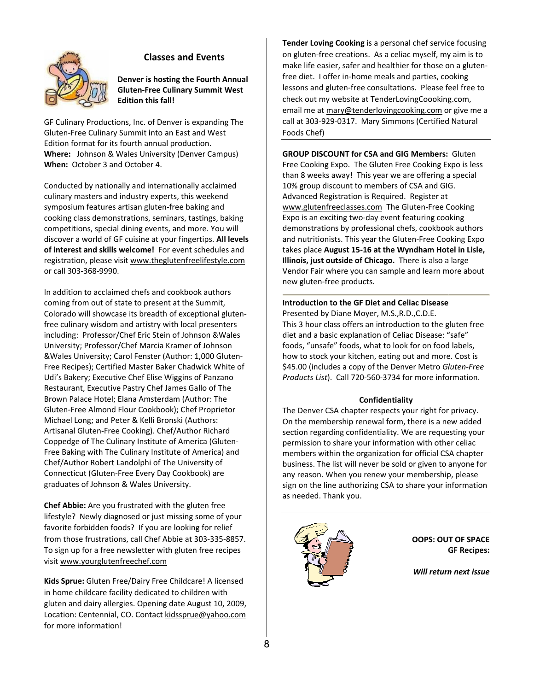

## **Classes and Events**

Denver is hosting the Fourth Annual **Gluten-Free Culinary Summit West Edition this fall!** 

GF Culinary Productions, Inc. of Denver is expanding The Gluten-Free Culinary Summit into an East and West Edition format for its fourth annual production. Where: Johnson & Wales University (Denver Campus) When: October 3 and October 4.

Conducted by nationally and internationally acclaimed culinary masters and industry experts, this weekend symposium features artisan gluten-free baking and cooking class demonstrations, seminars, tastings, baking competitions, special dining events, and more. You will discover a world of GF cuisine at your fingertips. All levels of interest and skills welcome! For event schedules and registration, please visit www.theglutenfreelifestyle.com or call 303-368-9990.

In addition to acclaimed chefs and cookbook authors coming from out of state to present at the Summit, Colorado will showcase its breadth of exceptional glutenfree culinary wisdom and artistry with local presenters including: Professor/Chef Eric Stein of Johnson & Wales University; Professor/Chef Marcia Kramer of Johnson &Wales University; Carol Fenster (Author: 1,000 Gluten-Free Recipes); Certified Master Baker Chadwick White of Udi's Bakery; Executive Chef Elise Wiggins of Panzano Restaurant, Executive Pastry Chef James Gallo of The Brown Palace Hotel; Elana Amsterdam (Author: The Gluten-Free Almond Flour Cookbook); Chef Proprietor Michael Long; and Peter & Kelli Bronski (Authors: Artisanal Gluten-Free Cooking). Chef/Author Richard Coppedge of The Culinary Institute of America (Gluten-Free Baking with The Culinary Institute of America) and Chef/Author Robert Landolphi of The University of Connecticut (Gluten-Free Every Day Cookbook) are graduates of Johnson & Wales University.

**Chef Abbie:** Are you frustrated with the gluten free lifestyle? Newly diagnosed or just missing some of your favorite forbidden foods? If you are looking for relief from those frustrations, call Chef Abbie at 303-335-8857. To sign up for a free newsletter with gluten free recipes visit www.yourglutenfreechef.com

Kids Sprue: Gluten Free/Dairy Free Childcare! A licensed in home childcare facility dedicated to children with gluten and dairy allergies. Opening date August 10, 2009, Location: Centennial, CO. Contact kidssprue@yahoo.com for more information!

Tender Loving Cooking is a personal chef service focusing on gluten-free creations. As a celiac myself, my aim is to make life easier, safer and healthier for those on a glutenfree diet. I offer in-home meals and parties, cooking lessons and gluten-free consultations. Please feel free to check out my website at TenderLovingCoooking.com, email me at mary@tenderlovingcooking.com or give me a call at 303-929-0317. Mary Simmons (Certified Natural Foods Chef)

**GROUP DISCOUNT for CSA and GIG Members: Gluten** Free Cooking Expo. The Gluten Free Cooking Expo is less than 8 weeks away! This year we are offering a special 10% group discount to members of CSA and GIG. Advanced Registration is Required. Register at www.glutenfreeclasses.com The Gluten-Free Cooking Expo is an exciting two-day event featuring cooking demonstrations by professional chefs, cookbook authors and nutritionists. This year the Gluten-Free Cooking Expo takes place August 15-16 at the Wyndham Hotel in Lisle, Illinois, just outside of Chicago. There is also a large Vendor Fair where you can sample and learn more about new gluten-free products.

## **Introduction to the GF Diet and Celiac Disease** Presented by Diane Moyer, M.S., R.D., C.D.E. This 3 hour class offers an introduction to the gluten free diet and a basic explanation of Celiac Disease: "safe" foods, "unsafe" foods, what to look for on food labels, how to stock your kitchen, eating out and more. Cost is \$45.00 (includes a copy of the Denver Metro Gluten-Free Products List). Call 720-560-3734 for more information.

#### Confidentiality

The Denver CSA chapter respects your right for privacy. On the membership renewal form, there is a new added section regarding confidentiality. We are requesting your permission to share your information with other celiac members within the organization for official CSA chapter business. The list will never be sold or given to anyone for any reason. When you renew your membership, please sign on the line authorizing CSA to share your information as needed. Thank you.



**OOPS: OUT OF SPACE GF Recipes:** 

Will return next issue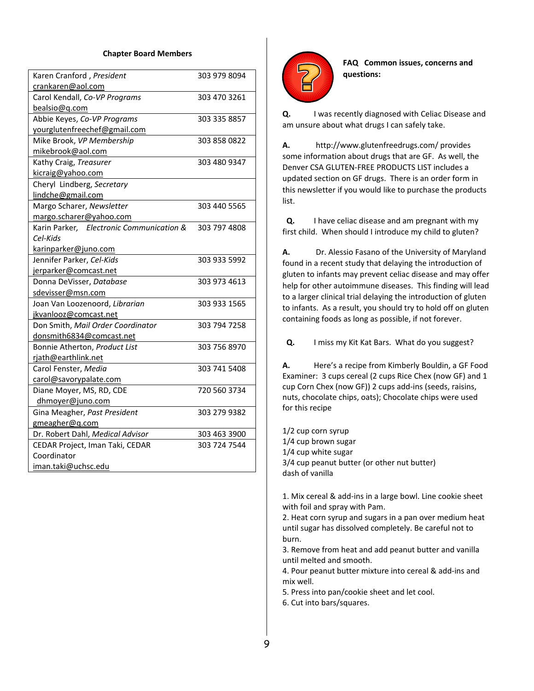#### **Chapter Board Members**

| Karen Cranford, President                | 303 979 8094 |
|------------------------------------------|--------------|
| crankaren@aol.com                        |              |
| Carol Kendall, Co-VP Programs            | 303 470 3261 |
| bealsio@q.com                            |              |
| Abbie Keyes, Co-VP Programs              | 303 335 8857 |
| yourglutenfreechef@gmail.com             |              |
| Mike Brook, VP Membership                | 303 858 0822 |
| mikebrook@aol.com                        |              |
| Kathy Craig, Treasurer                   | 303 480 9347 |
| kicraig@yahoo.com                        |              |
| Cheryl Lindberg, Secretary               |              |
| lindche@gmail.com                        |              |
| Margo Scharer, Newsletter                | 303 440 5565 |
| margo.scharer@yahoo.com                  |              |
| Karin Parker, Electronic Communication & | 303 797 4808 |
| Cel-Kids                                 |              |
| karinparker@juno.com                     |              |
| Jennifer Parker, Cel-Kids                | 303 933 5992 |
| jerparker@comcast.net                    |              |
| Donna DeVisser, Database                 | 303 973 4613 |
| sdevisser@msn.com                        |              |
| Joan Van Loozenoord, Librarian           | 303 933 1565 |
| jkvanlooz@comcast.net                    |              |
| Don Smith, Mail Order Coordinator        | 303 794 7258 |
| donsmith6834@comcast.net                 |              |
| Bonnie Atherton, Product List            | 303 756 8970 |
| rjath@earthlink.net                      |              |
| Carol Fenster, Media                     | 303 741 5408 |
| carol@savorypalate.com                   |              |
| Diane Moyer, MS, RD, CDE                 | 720 560 3734 |
| dhmoyer@juno.com                         |              |
| Gina Meagher, Past President             | 303 279 9382 |
| gmeagher@q.com                           |              |
| Dr. Robert Dahl, Medical Advisor         | 303 463 3900 |
| CEDAR Project, Iman Taki, CEDAR          | 303 724 7544 |
| Coordinator                              |              |
| iman.taki@uchsc.edu                      |              |



**FAQ Common issues, concerns and questions:** 

**Q.** I was recently diagnosed with Celiac Disease and am unsure about what drugs I can safely take.

**A.** http://www.glutenfreedrugs.com/ provides some information about drugs that are GF. As well, the Denver CSA GLUTEN‐FREE PRODUCTS LIST includes a updated section on GF drugs. There is an order form in this newsletter if you would like to purchase the products list.

 **Q.** I have celiac disease and am pregnant with my first child. When should I introduce my child to gluten?

**A.** Dr. Alessio Fasano of the University of Maryland found in a recent study that delaying the introduction of gluten to infants may prevent celiac disease and may offer help for other autoimmune diseases. This finding will lead to a larger clinical trial delaying the introduction of gluten to infants. As a result, you should try to hold off on gluten containing foods as long as possible, if not forever.

 **Q.** I miss my Kit Kat Bars. What do you suggest?

**A.** Here's a recipe from Kimberly Bouldin, a GF Food Examiner: 3 cups cereal (2 cups Rice Chex (now GF) and 1 cup Corn Chex (now GF)) 2 cups add‐ins (seeds, raisins, nuts, chocolate chips, oats); Chocolate chips were used for this recipe

1/2 cup corn syrup 1/4 cup brown sugar 1/4 cup white sugar 3/4 cup peanut butter (or other nut butter) dash of vanilla

1. Mix cereal & add‐ins in a large bowl. Line cookie sheet with foil and spray with Pam.

2. Heat corn syrup and sugars in a pan over medium heat until sugar has dissolved completely. Be careful not to burn.

3. Remove from heat and add peanut butter and vanilla until melted and smooth.

4. Pour peanut butter mixture into cereal & add‐ins and mix well.

5. Press into pan/cookie sheet and let cool.

6. Cut into bars/squares.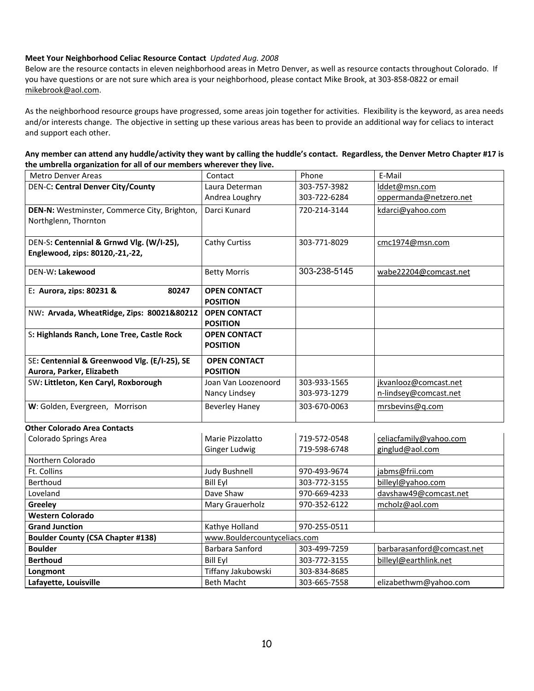## **Meet Your Neighborhood Celiac Resource Contact** *Updated Aug. 2008*

Below are the resource contacts in eleven neighborhood areas in Metro Denver, as well as resource contacts throughout Colorado. If you have questions or are not sure which area is your neighborhood, please contact Mike Brook, at 303‐858‐0822 or email mikebrook@aol.com.

As the neighborhood resource groups have progressed, some areas join together for activities. Flexibility is the keyword, as area needs and/or interests change. The objective in setting up these various areas has been to provide an additional way for celiacs to interact and support each other.

| Any member can attend any huddle/activity they want by calling the huddle's contact. Regardless, the Denver Metro Chapter #17 is |  |
|----------------------------------------------------------------------------------------------------------------------------------|--|
| the umbrella organization for all of our members wherever they live.                                                             |  |

| <b>Metro Denver Areas</b>                    | Contact                                | Phone        | E-Mail                     |
|----------------------------------------------|----------------------------------------|--------------|----------------------------|
| <b>DEN-C: Central Denver City/County</b>     | Laura Determan                         | 303-757-3982 | lddet@msn.com              |
|                                              | Andrea Loughry                         | 303-722-6284 | oppermanda@netzero.net     |
| DEN-N: Westminster, Commerce City, Brighton, | Darci Kunard                           | 720-214-3144 | kdarci@yahoo.com           |
| Northglenn, Thornton                         |                                        |              |                            |
| DEN-S: Centennial & Grnwd Vlg. (W/I-25),     | Cathy Curtiss                          | 303-771-8029 | cmc1974@msn.com            |
| Englewood, zips: 80120,-21,-22,              |                                        |              |                            |
| DEN-W: Lakewood                              | <b>Betty Morris</b>                    | 303-238-5145 | wabe22204@comcast.net      |
| E: Aurora, zips: 80231 &<br>80247            | <b>OPEN CONTACT</b><br><b>POSITION</b> |              |                            |
| NW: Arvada, WheatRidge, Zips: 80021&80212    | <b>OPEN CONTACT</b><br><b>POSITION</b> |              |                            |
| S: Highlands Ranch, Lone Tree, Castle Rock   | <b>OPEN CONTACT</b><br><b>POSITION</b> |              |                            |
| SE: Centennial & Greenwood Vlg. (E/I-25), SE | <b>OPEN CONTACT</b>                    |              |                            |
| Aurora, Parker, Elizabeth                    | <b>POSITION</b>                        |              |                            |
| SW: Littleton, Ken Caryl, Roxborough         | Joan Van Loozenoord                    | 303-933-1565 | jkvanlooz@comcast.net      |
|                                              | Nancy Lindsey                          | 303-973-1279 | n-lindsey@comcast.net      |
| W: Golden, Evergreen, Morrison               | <b>Beverley Haney</b>                  | 303-670-0063 | mrsbevins@q.com            |
| <b>Other Colorado Area Contacts</b>          |                                        |              |                            |
| Colorado Springs Area                        | Marie Pizzolatto                       | 719-572-0548 | celiacfamily@yahoo.com     |
|                                              | <b>Ginger Ludwig</b>                   | 719-598-6748 | ginglud@aol.com            |
| Northern Colorado                            |                                        |              |                            |
| Ft. Collins                                  | <b>Judy Bushnell</b>                   | 970-493-9674 | jabms@frii.com             |
| Berthoud                                     | <b>Bill Eyl</b>                        | 303-772-3155 | billeyl@yahoo.com          |
| Loveland                                     | Dave Shaw                              | 970-669-4233 | davshaw49@comcast.net      |
| Greeley                                      | Mary Grauerholz                        | 970-352-6122 | mcholz@aol.com             |
| <b>Western Colorado</b>                      |                                        |              |                            |
| <b>Grand Junction</b>                        | Kathye Holland                         | 970-255-0511 |                            |
| <b>Boulder County (CSA Chapter #138)</b>     | www.Bouldercountyceliacs.com           |              |                            |
| <b>Boulder</b>                               | Barbara Sanford                        | 303-499-7259 | barbarasanford@comcast.net |
| <b>Berthoud</b>                              | <b>Bill Eyl</b>                        | 303-772-3155 | billeyl@earthlink.net      |
| Longmont                                     | Tiffany Jakubowski                     | 303-834-8685 |                            |
| Lafayette, Louisville                        | <b>Beth Macht</b>                      | 303-665-7558 | elizabethwm@yahoo.com      |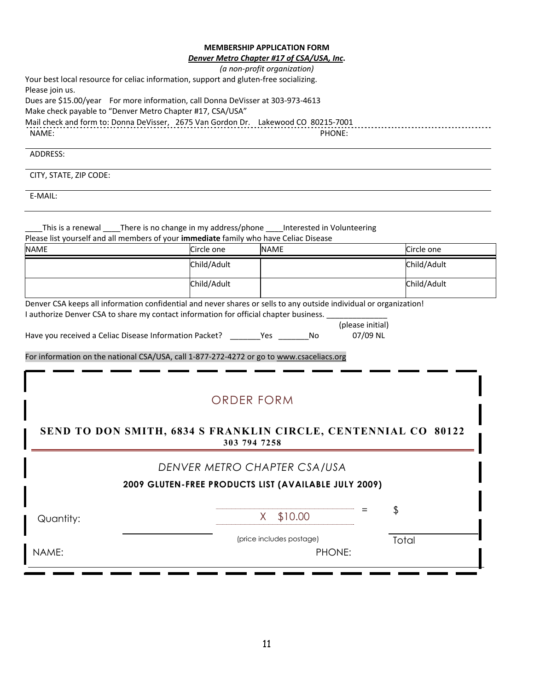# **MEMBERSHIP APPLICATION FORM**<br>ver Metro Chanter #17 of CSA/USA U

## *Denver Metro Chapter #17 of CSA/USA, Inc***.**

|                                                                                                                                                                                                             |             | Denver Metro Chapter #17 of CSA/USA, Inc.            |                  |  |
|-------------------------------------------------------------------------------------------------------------------------------------------------------------------------------------------------------------|-------------|------------------------------------------------------|------------------|--|
| Your best local resource for celiac information, support and gluten-free socializing.                                                                                                                       |             | (a non-profit organization)                          |                  |  |
| Please join us.                                                                                                                                                                                             |             |                                                      |                  |  |
| Dues are \$15.00/year For more information, call Donna DeVisser at 303-973-4613                                                                                                                             |             |                                                      |                  |  |
| Make check payable to "Denver Metro Chapter #17, CSA/USA"                                                                                                                                                   |             |                                                      |                  |  |
| Mail check and form to: Donna DeVisser, 2675 Van Gordon Dr. Lakewood CO 80215-7001                                                                                                                          |             |                                                      |                  |  |
| NAME:                                                                                                                                                                                                       |             | PHONE:                                               |                  |  |
| ADDRESS:                                                                                                                                                                                                    |             |                                                      |                  |  |
| CITY, STATE, ZIP CODE:                                                                                                                                                                                      |             |                                                      |                  |  |
| E-MAIL:                                                                                                                                                                                                     |             |                                                      |                  |  |
|                                                                                                                                                                                                             |             |                                                      |                  |  |
| This is a renewal _____There is no change in my address/phone _____Interested in Volunteering                                                                                                               |             |                                                      |                  |  |
| Please list yourself and all members of your immediate family who have Celiac Disease                                                                                                                       |             |                                                      |                  |  |
| <b>NAME</b>                                                                                                                                                                                                 | Circle one  | <b>NAME</b>                                          | Circle one       |  |
|                                                                                                                                                                                                             | Child/Adult |                                                      | Child/Adult      |  |
|                                                                                                                                                                                                             | Child/Adult |                                                      | Child/Adult      |  |
|                                                                                                                                                                                                             |             |                                                      |                  |  |
| Denver CSA keeps all information confidential and never shares or sells to any outside individual or organization!<br>I authorize Denver CSA to share my contact information for official chapter business. |             |                                                      |                  |  |
|                                                                                                                                                                                                             |             |                                                      | (please initial) |  |
| Have you received a Celiac Disease Information Packet? ________Yes ________No                                                                                                                               |             |                                                      | 07/09 NL         |  |
|                                                                                                                                                                                                             |             |                                                      |                  |  |
| For information on the national CSA/USA, call 1-877-272-4272 or go to www.csaceliacs.org                                                                                                                    |             |                                                      |                  |  |
|                                                                                                                                                                                                             |             |                                                      |                  |  |
|                                                                                                                                                                                                             |             |                                                      |                  |  |
|                                                                                                                                                                                                             |             | <b>ORDER FORM</b>                                    |                  |  |
|                                                                                                                                                                                                             |             |                                                      |                  |  |
|                                                                                                                                                                                                             |             |                                                      |                  |  |
| SEND TO DON SMITH, 6834 S FRANKLIN CIRCLE, CENTENNIAL CO 80122                                                                                                                                              |             |                                                      |                  |  |
|                                                                                                                                                                                                             |             | 303 794 7258                                         |                  |  |
|                                                                                                                                                                                                             |             | DENVER METRO CHAPTER CSA/USA                         |                  |  |
|                                                                                                                                                                                                             |             |                                                      |                  |  |
|                                                                                                                                                                                                             |             | 2009 GLUTEN-FREE PRODUCTS LIST (AVAILABLE JULY 2009) |                  |  |
|                                                                                                                                                                                                             |             |                                                      |                  |  |
|                                                                                                                                                                                                             |             |                                                      |                  |  |
| Quantity:                                                                                                                                                                                                   |             | \$10.00<br>X.                                        | \$               |  |
|                                                                                                                                                                                                             |             |                                                      |                  |  |
|                                                                                                                                                                                                             |             | (price includes postage)                             | Total            |  |
| NAME:                                                                                                                                                                                                       |             | PHONE:                                               |                  |  |